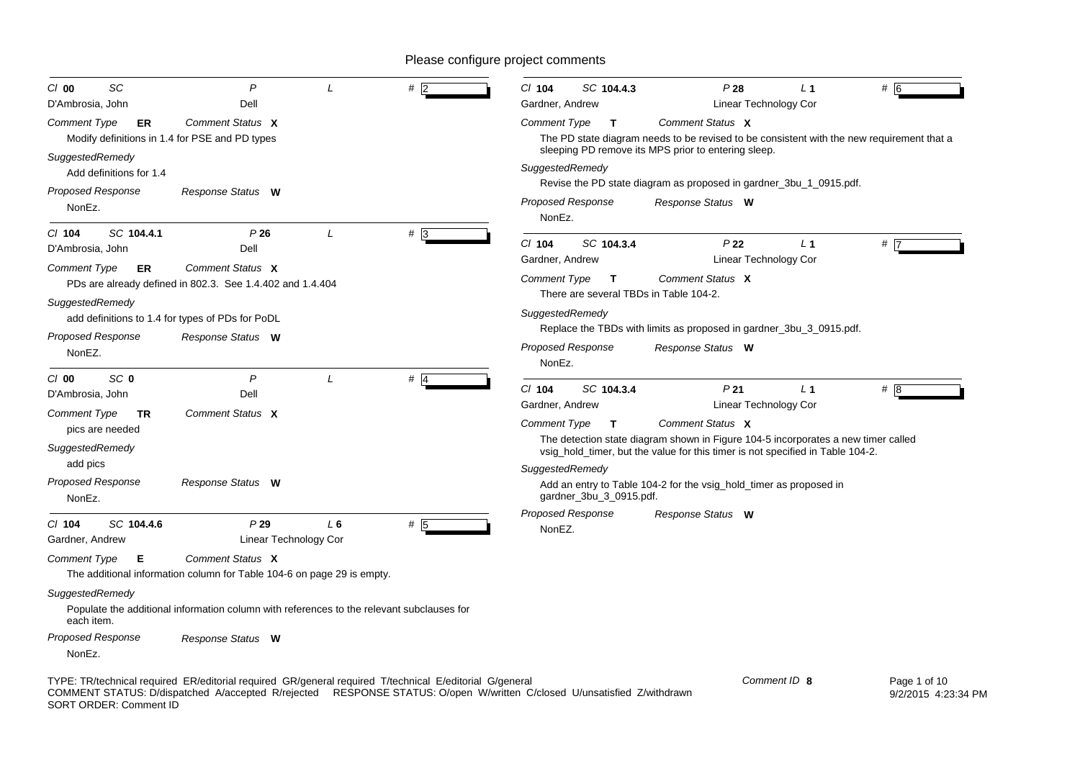| SC<br>$Cl$ 00                                  | P                                                                                                                  |               | $#$  2                                                                                                  | $Cl$ 104            | SC 104.4.3               | P28                                                                            | L <sub>1</sub>        | #                                                                                         |
|------------------------------------------------|--------------------------------------------------------------------------------------------------------------------|---------------|---------------------------------------------------------------------------------------------------------|---------------------|--------------------------|--------------------------------------------------------------------------------|-----------------------|-------------------------------------------------------------------------------------------|
| D'Ambrosia, John                               | Dell                                                                                                               |               |                                                                                                         | Gardner, Andrew     |                          |                                                                                | Linear Technology Cor |                                                                                           |
| Comment Type<br>ER                             | Comment Status X                                                                                                   |               |                                                                                                         | <b>Comment Type</b> | $\mathbf{T}$             | Comment Status X                                                               |                       |                                                                                           |
| Modify definitions in 1.4 for PSE and PD types |                                                                                                                    |               |                                                                                                         |                     |                          | sleeping PD remove its MPS prior to entering sleep.                            |                       | The PD state diagram needs to be revised to be consistent with the new requirement that a |
| SuggestedRemedy                                |                                                                                                                    |               |                                                                                                         | SuggestedRemedy     |                          |                                                                                |                       |                                                                                           |
| Add definitions for 1.4                        |                                                                                                                    |               |                                                                                                         |                     |                          | Revise the PD state diagram as proposed in gardner_3bu_1_0915.pdf.             |                       |                                                                                           |
| <b>Proposed Response</b>                       | Response Status W                                                                                                  |               |                                                                                                         |                     | <b>Proposed Response</b> | Response Status W                                                              |                       |                                                                                           |
| NonEz.                                         |                                                                                                                    |               |                                                                                                         | NonEz.              |                          |                                                                                |                       |                                                                                           |
| SC 104.4.1<br>$CI$ 104                         | P26                                                                                                                | L             | $# \, 3$                                                                                                |                     |                          |                                                                                |                       |                                                                                           |
| D'Ambrosia, John                               | Dell                                                                                                               |               |                                                                                                         | $Cl$ 104            | SC 104.3.4               | P <sub>22</sub>                                                                | $L_1$                 | #17                                                                                       |
| Comment Type<br>ER                             | Comment Status X                                                                                                   |               |                                                                                                         | Gardner, Andrew     |                          |                                                                                | Linear Technology Cor |                                                                                           |
|                                                | PDs are already defined in 802.3. See 1.4.402 and 1.4.404                                                          |               |                                                                                                         | <b>Comment Type</b> | $\mathbf{T}$             | Comment Status X                                                               |                       |                                                                                           |
| SuggestedRemedy                                |                                                                                                                    |               |                                                                                                         |                     |                          | There are several TBDs in Table 104-2.                                         |                       |                                                                                           |
|                                                | add definitions to 1.4 for types of PDs for PoDL                                                                   |               |                                                                                                         | SuggestedRemedy     |                          |                                                                                |                       |                                                                                           |
| Proposed Response                              | Response Status W                                                                                                  |               |                                                                                                         |                     |                          | Replace the TBDs with limits as proposed in gardner 3bu 3 0915.pdf.            |                       |                                                                                           |
| NonEZ.                                         |                                                                                                                    |               |                                                                                                         |                     | <b>Proposed Response</b> | Response Status W                                                              |                       |                                                                                           |
| SC <sub>0</sub><br>$Cl$ 00                     | $\mathsf{P}$                                                                                                       | $\mathcal{L}$ | $#$ 4                                                                                                   | NonEz.              |                          |                                                                                |                       |                                                                                           |
| D'Ambrosia, John                               | Dell                                                                                                               |               |                                                                                                         | $Cl$ 104            | SC 104.3.4               | P <sub>21</sub>                                                                | L <sub>1</sub>        | # 8                                                                                       |
| Comment Type<br>TR                             | Comment Status X                                                                                                   |               |                                                                                                         | Gardner, Andrew     |                          |                                                                                | Linear Technology Cor |                                                                                           |
| pics are needed                                |                                                                                                                    |               |                                                                                                         | <b>Comment Type</b> | $\mathbf{T}$             | Comment Status X                                                               |                       |                                                                                           |
| SuggestedRemedy                                |                                                                                                                    |               |                                                                                                         |                     |                          |                                                                                |                       | The detection state diagram shown in Figure 104-5 incorporates a new timer called         |
| add pics                                       |                                                                                                                    |               |                                                                                                         |                     |                          | vsig_hold_timer, but the value for this timer is not specified in Table 104-2. |                       |                                                                                           |
| <b>Proposed Response</b>                       | Response Status W                                                                                                  |               |                                                                                                         | SuggestedRemedy     |                          |                                                                                |                       |                                                                                           |
| NonEz.                                         |                                                                                                                    |               |                                                                                                         |                     | gardner_3bu_3_0915.pdf.  | Add an entry to Table 104-2 for the vsig_hold_timer as proposed in             |                       |                                                                                           |
|                                                |                                                                                                                    |               |                                                                                                         |                     | <b>Proposed Response</b> | Response Status W                                                              |                       |                                                                                           |
| C/ 104<br>SC 104.4.6                           | P29                                                                                                                | $L_6$         | # 5                                                                                                     | NonEZ.              |                          |                                                                                |                       |                                                                                           |
| Gardner, Andrew                                | Linear Technology Cor                                                                                              |               |                                                                                                         |                     |                          |                                                                                |                       |                                                                                           |
| <b>Comment Type</b><br>Е                       | Comment Status X<br>The additional information column for Table 104-6 on page 29 is empty.                         |               |                                                                                                         |                     |                          |                                                                                |                       |                                                                                           |
| SuggestedRemedy                                |                                                                                                                    |               |                                                                                                         |                     |                          |                                                                                |                       |                                                                                           |
| each item.                                     | Populate the additional information column with references to the relevant subclauses for                          |               |                                                                                                         |                     |                          |                                                                                |                       |                                                                                           |
| <b>Proposed Response</b>                       | Response Status W                                                                                                  |               |                                                                                                         |                     |                          |                                                                                |                       |                                                                                           |
| NonEz.                                         |                                                                                                                    |               |                                                                                                         |                     |                          |                                                                                |                       |                                                                                           |
|                                                | COMMENT CTATUC, Deviational Measurership Districted DECDONCE CTATUC, Olange Military Oldered Ultreadistical Zimite |               | TYPE: TR/technical required ER/editorial required GR/general required T/technical E/editorial G/general |                     |                          |                                                                                | Comment ID 8          | Page 1 of 10                                                                              |

COMMENT STATUS: D/dispatched A/accepted R/rejected RESPONSE STATUS: O/open W/written C/closed U/unsatisfied Z/withdrawn SORT ORDER: Comment ID

9/2/2015 4:23:34 PM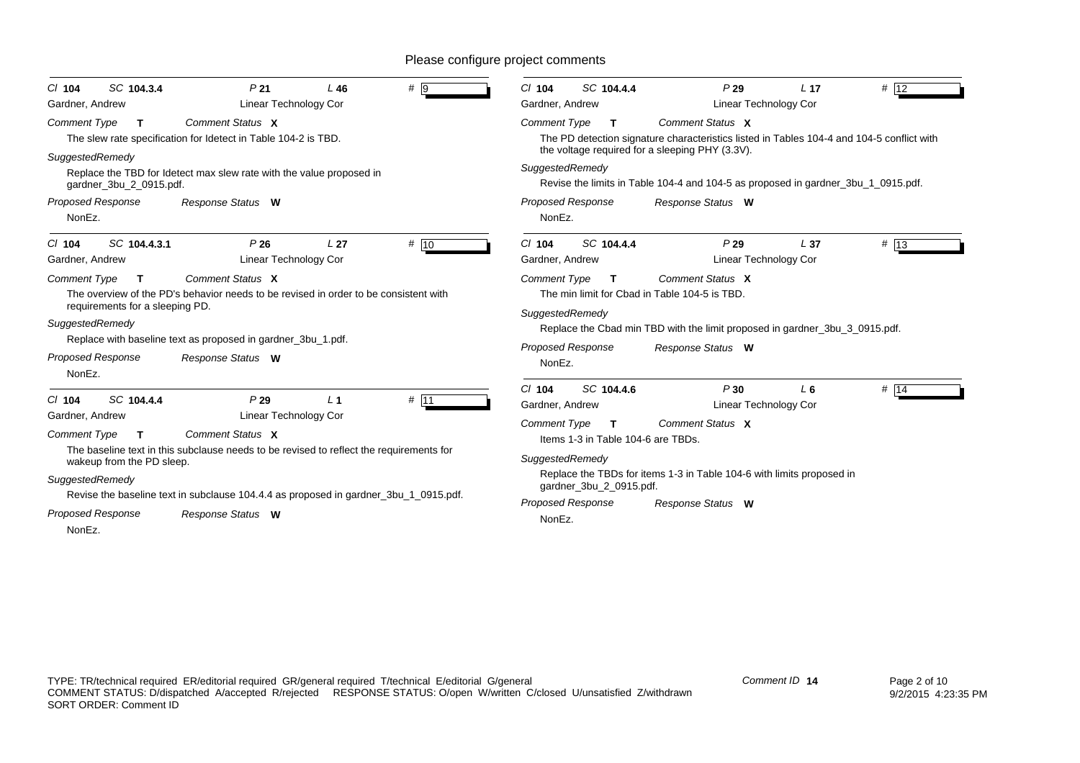| SC 104.3.4<br>$Cl$ 104<br>Gardner, Andrew                                                                                                                                     | P <sub>21</sub><br>Linear Technology Cor                                                                                                                                                                                                                        | L46             | #   9 | $Cl$ 104<br>SC 104.4.4<br>Gardner, Andrew                                                                                                                                                                  | P29                                                                                                                                                                                                                                                                        | L <sub>17</sub><br>Linear Technology Cor | # 12    |
|-------------------------------------------------------------------------------------------------------------------------------------------------------------------------------|-----------------------------------------------------------------------------------------------------------------------------------------------------------------------------------------------------------------------------------------------------------------|-----------------|-------|------------------------------------------------------------------------------------------------------------------------------------------------------------------------------------------------------------|----------------------------------------------------------------------------------------------------------------------------------------------------------------------------------------------------------------------------------------------------------------------------|------------------------------------------|---------|
| <b>Comment Type</b><br>$\mathbf{T}$<br>SuggestedRemedy<br>gardner_3bu_2_0915.pdf.<br><b>Proposed Response</b><br>NonEz.                                                       | Comment Status X<br>The slew rate specification for Idetect in Table 104-2 is TBD.<br>Replace the TBD for Idetect max slew rate with the value proposed in<br>Response Status W                                                                                 |                 |       | <b>Comment Type</b><br>$\mathbf T$<br>SuggestedRemedy<br><b>Proposed Response</b><br>NonEz.                                                                                                                | Comment Status X<br>The PD detection signature characteristics listed in Tables 104-4 and 104-5 conflict with<br>the voltage required for a sleeping PHY (3.3V).<br>Revise the limits in Table 104-4 and 104-5 as proposed in gardner_3bu_1_0915.pdf.<br>Response Status W |                                          |         |
| SC 104.4.3.1<br>$Cl$ 104<br>Gardner, Andrew<br><b>Comment Type</b><br>$\mathbf T$<br>requirements for a sleeping PD.<br>SuggestedRemedy<br><b>Proposed Response</b><br>NonEz. | P26<br>Linear Technology Cor<br>Comment Status X<br>The overview of the PD's behavior needs to be revised in order to be consistent with<br>Replace with baseline text as proposed in gardner_3bu_1.pdf.<br>Response Status W                                   | L <sub>27</sub> | # 10  | $Cl$ 104<br>SC 104.4.4<br>Gardner, Andrew<br><b>Comment Type</b><br>T<br>SuggestedRemedy<br><b>Proposed Response</b><br>NonEz.                                                                             | P29<br>Comment Status X<br>The min limit for Cbad in Table 104-5 is TBD.<br>Replace the Cbad min TBD with the limit proposed in gardner_3bu_3_0915.pdf.<br>Response Status W                                                                                               | L <sub>37</sub><br>Linear Technology Cor | # $ 13$ |
| SC 104.4.4<br>$Cl$ 104<br>Gardner, Andrew<br><b>Comment Type</b><br>$\mathbf{T}$<br>wakeup from the PD sleep.<br>SuggestedRemedy<br><b>Proposed Response</b><br>NonEz.        | P29<br><b>Linear Technology Cor</b><br>Comment Status X<br>The baseline text in this subclause needs to be revised to reflect the requirements for<br>Revise the baseline text in subclause 104.4.4 as proposed in gardner_3bu_1_0915.pdf.<br>Response Status W | L <sub>1</sub>  | # 11  | SC 104.4.6<br>$Cl$ 104<br>Gardner, Andrew<br><b>Comment Type</b><br>$\mathbf{T}$<br>Items 1-3 in Table 104-6 are TBDs.<br>SuggestedRemedy<br>gardner_3bu_2_0915.pdf.<br><b>Proposed Response</b><br>NonEz. | P30<br>Comment Status X<br>Replace the TBDs for items 1-3 in Table 104-6 with limits proposed in<br>Response Status W                                                                                                                                                      | $L_6$<br>Linear Technology Cor           | # $14$  |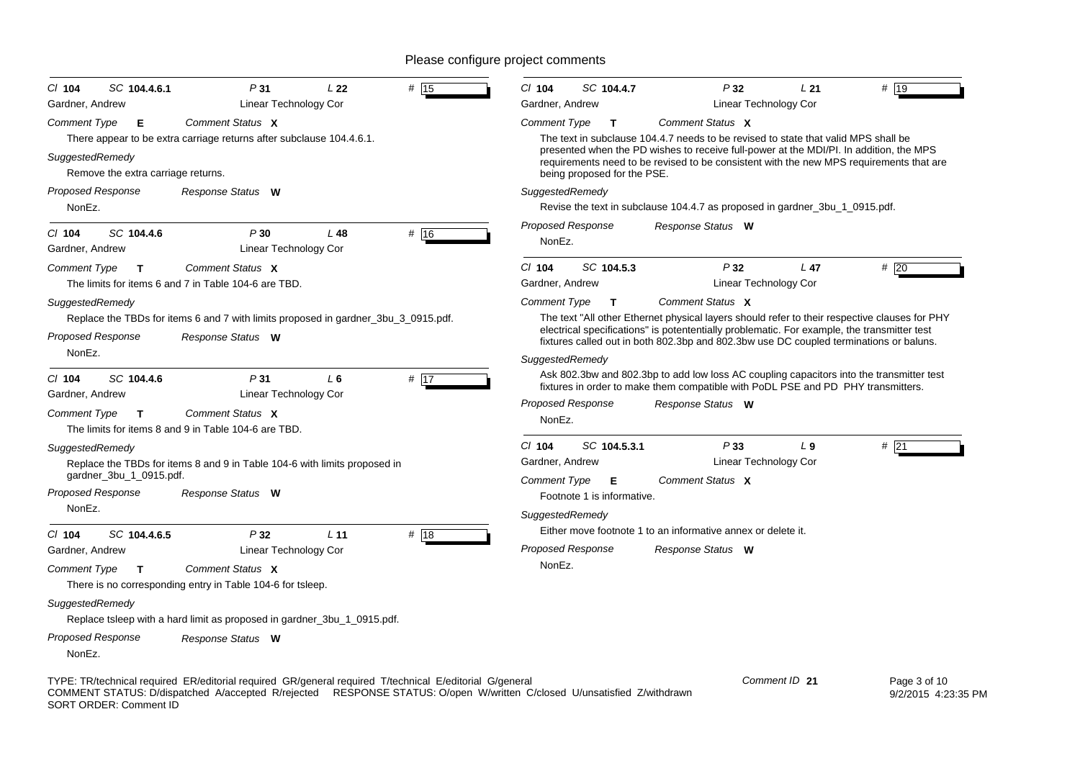| $CI$ 104<br>SC 104.4.6.1<br>Gardner, Andrew | P31<br>Linear Technology Cor                                                                            | L22             | # 15 | $CI$ 104<br>Gardner, Andrew        | SC 104.4.7                      | P32<br>Linear Technology Cor                                                       | L21             | # 19                                                                                                                                                                                                                                                                                   |
|---------------------------------------------|---------------------------------------------------------------------------------------------------------|-----------------|------|------------------------------------|---------------------------------|------------------------------------------------------------------------------------|-----------------|----------------------------------------------------------------------------------------------------------------------------------------------------------------------------------------------------------------------------------------------------------------------------------------|
|                                             | Comment Status X                                                                                        |                 |      |                                    |                                 | Comment Status X                                                                   |                 |                                                                                                                                                                                                                                                                                        |
| <b>Comment Type</b><br>E<br>SuggestedRemedy | There appear to be extra carriage returns after subclause 104.4.6.1.                                    |                 |      | Comment Type                       | $\mathbf{T}$                    | The text in subclause 104.4.7 needs to be revised to state that valid MPS shall be |                 | presented when the PD wishes to receive full-power at the MDI/PI. In addition, the MPS                                                                                                                                                                                                 |
| Remove the extra carriage returns.          |                                                                                                         |                 |      |                                    | being proposed for the PSE.     |                                                                                    |                 | requirements need to be revised to be consistent with the new MPS requirements that are                                                                                                                                                                                                |
| <b>Proposed Response</b><br>NonEz.          | Response Status W                                                                                       |                 |      | SuggestedRemedy                    |                                 | Revise the text in subclause 104.4.7 as proposed in gardner_3bu_1_0915.pdf.        |                 |                                                                                                                                                                                                                                                                                        |
| $Cl$ 104<br>SC 104.4.6<br>Gardner, Andrew   | P30<br>Linear Technology Cor                                                                            | L48             | # 16 | <b>Proposed Response</b><br>NonEz. |                                 | Response Status W                                                                  |                 |                                                                                                                                                                                                                                                                                        |
| Comment Type<br>$\mathbf T$                 | Comment Status X<br>The limits for items 6 and 7 in Table 104-6 are TBD.                                |                 |      | $Cl$ 104<br>Gardner, Andrew        | SC 104.5.3                      | P32<br>Linear Technology Cor                                                       | L <sub>47</sub> | #20                                                                                                                                                                                                                                                                                    |
| SuggestedRemedy                             |                                                                                                         |                 |      | <b>Comment Type</b>                | $\mathbf{T}$                    | Comment Status X                                                                   |                 |                                                                                                                                                                                                                                                                                        |
| <b>Proposed Response</b>                    | Replace the TBDs for items 6 and 7 with limits proposed in gardner_3bu_3_0915.pdf.<br>Response Status W |                 |      |                                    |                                 |                                                                                    |                 | The text "All other Ethernet physical layers should refer to their respective clauses for PHY<br>electrical specifications" is potententially problematic. For example, the transmitter test<br>fixtures called out in both 802.3bp and 802.3bw use DC coupled terminations or baluns. |
| NonEz.                                      |                                                                                                         |                 |      | SuggestedRemedy                    |                                 |                                                                                    |                 |                                                                                                                                                                                                                                                                                        |
| SC 104.4.6<br>$CI$ 104<br>Gardner, Andrew   | P31<br>Linear Technology Cor                                                                            | L6              | # 17 |                                    |                                 |                                                                                    |                 | Ask 802.3bw and 802.3bp to add low loss AC coupling capacitors into the transmitter test<br>fixtures in order to make them compatible with PoDL PSE and PD PHY transmitters.                                                                                                           |
| <b>Comment Type</b><br>$\mathbf{T}$         | Comment Status X<br>The limits for items 8 and 9 in Table 104-6 are TBD.                                |                 |      | <b>Proposed Response</b><br>NonEz. |                                 | Response Status W                                                                  |                 |                                                                                                                                                                                                                                                                                        |
| SuggestedRemedy<br>gardner_3bu_1_0915.pdf.  | Replace the TBDs for items 8 and 9 in Table 104-6 with limits proposed in                               |                 |      | $Cl$ 104<br>Gardner, Andrew        | SC 104.5.3.1                    | P33<br>Linear Technology Cor                                                       | L <sub>9</sub>  | # $\overline{21}$                                                                                                                                                                                                                                                                      |
| <b>Proposed Response</b>                    | Response Status W                                                                                       |                 |      | <b>Comment Type</b>                | Е<br>Footnote 1 is informative. | Comment Status X                                                                   |                 |                                                                                                                                                                                                                                                                                        |
| NonEz.                                      |                                                                                                         |                 |      | SuggestedRemedy                    |                                 |                                                                                    |                 |                                                                                                                                                                                                                                                                                        |
| $CI$ 104<br>SC 104.4.6.5                    | P32                                                                                                     | L <sub>11</sub> | # 18 |                                    |                                 | Either move footnote 1 to an informative annex or delete it.                       |                 |                                                                                                                                                                                                                                                                                        |
| Gardner, Andrew                             | Linear Technology Cor                                                                                   |                 |      | <b>Proposed Response</b>           |                                 | Response Status W                                                                  |                 |                                                                                                                                                                                                                                                                                        |
| <b>Comment Type</b><br>$\mathbf{T}$         | Comment Status X<br>There is no corresponding entry in Table 104-6 for tsleep.                          |                 |      | NonEz.                             |                                 |                                                                                    |                 |                                                                                                                                                                                                                                                                                        |
| SuggestedRemedy                             | Replace tsleep with a hard limit as proposed in gardner_3bu_1_0915.pdf.                                 |                 |      |                                    |                                 |                                                                                    |                 |                                                                                                                                                                                                                                                                                        |
| <b>Proposed Response</b><br>NonEz.          | Response Status W                                                                                       |                 |      |                                    |                                 |                                                                                    |                 |                                                                                                                                                                                                                                                                                        |
|                                             | TYPE: TR/technical required ER/editorial required GR/general required T/technical E/editorial G/general |                 |      |                                    |                                 |                                                                                    | Comment ID 21   | Page 3 of 10                                                                                                                                                                                                                                                                           |

COMMENT STATUS: D/dispatched A/accepted R/rejected RESPONSE STATUS: O/open W/written C/closed U/unsatisfied Z/withdrawn SORT ORDER: Comment ID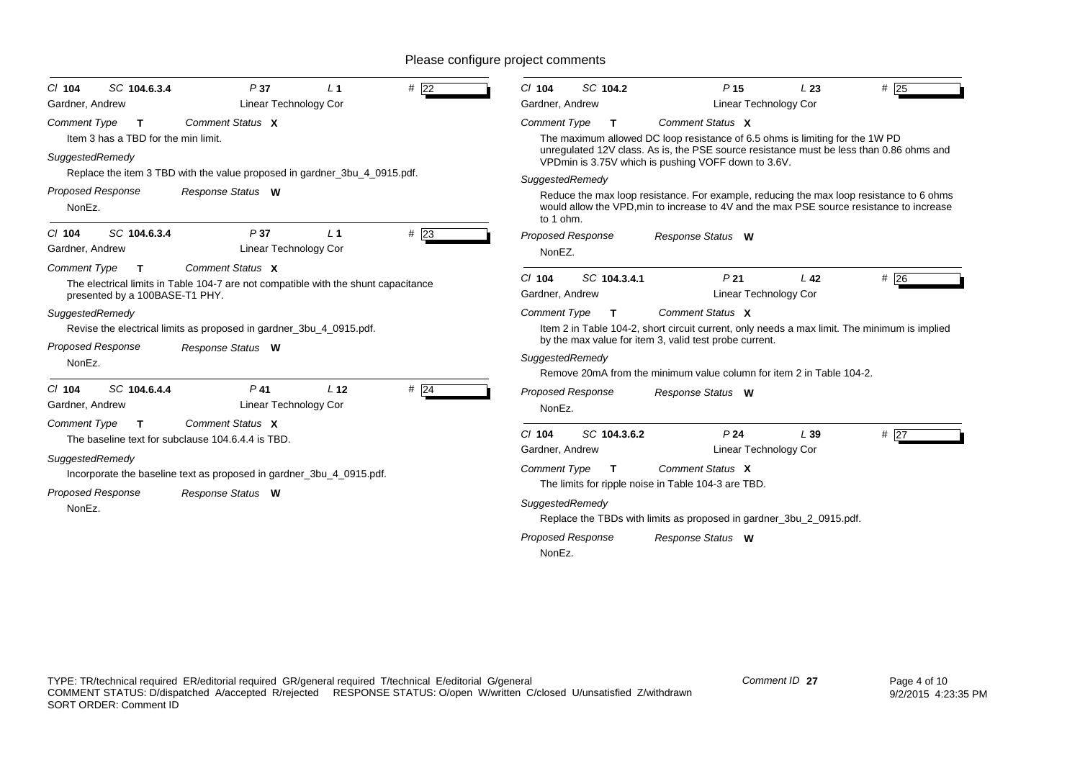| SC 104.6.3.4<br>#22<br>P37<br>L <sub>1</sub><br>$Cl$ 104<br>Linear Technology Cor<br>Gardner, Andrew                                                                                                                                                    | SC 104.2<br>$CI$ 104<br>P <sub>15</sub><br>$#$ 25<br>L23<br>Gardner, Andrew<br>Linear Technology Cor                                                                                                                                                                                                                                                                                                                                                                                      |
|---------------------------------------------------------------------------------------------------------------------------------------------------------------------------------------------------------------------------------------------------------|-------------------------------------------------------------------------------------------------------------------------------------------------------------------------------------------------------------------------------------------------------------------------------------------------------------------------------------------------------------------------------------------------------------------------------------------------------------------------------------------|
| Comment Status X<br><b>Comment Type</b><br>T<br>Item 3 has a TBD for the min limit.<br>SuggestedRemedy<br>Replace the item 3 TBD with the value proposed in gardner_3bu_4_0915.pdf.<br><b>Proposed Response</b><br>Response Status W<br>NonEz.          | Comment Status X<br><b>Comment Type</b><br>T.<br>The maximum allowed DC loop resistance of 6.5 ohms is limiting for the 1W PD<br>unregulated 12V class. As is, the PSE source resistance must be less than 0.86 ohms and<br>VPDmin is 3.75V which is pushing VOFF down to 3.6V.<br>SuggestedRemedy<br>Reduce the max loop resistance. For example, reducing the max loop resistance to 6 ohms<br>would allow the VPD, min to increase to 4V and the max PSE source resistance to increase |
| SC 104.6.3.4<br>#23<br>P37<br>L <sub>1</sub><br>$Cl$ 104<br><b>Linear Technology Cor</b><br>Gardner, Andrew                                                                                                                                             | to 1 ohm.<br><b>Proposed Response</b><br>Response Status W<br>NonEZ.                                                                                                                                                                                                                                                                                                                                                                                                                      |
| Comment Status X<br><b>Comment Type</b><br>$\mathbf{T}$<br>The electrical limits in Table 104-7 are not compatible with the shunt capacitance<br>presented by a 100BASE-T1 PHY.<br>SuggestedRemedy                                                      | SC 104.3.4.1<br>#26<br>$CI$ 104<br>P <sub>21</sub><br>L <sub>42</sub><br><b>Linear Technology Cor</b><br>Gardner, Andrew<br><b>Comment Type</b><br>Comment Status X<br>T                                                                                                                                                                                                                                                                                                                  |
| Revise the electrical limits as proposed in gardner_3bu_4_0915.pdf.<br><b>Proposed Response</b><br>Response Status W<br>NonEz.                                                                                                                          | Item 2 in Table 104-2, short circuit current, only needs a max limit. The minimum is implied<br>by the max value for item 3, valid test probe current.<br>SuggestedRemedy<br>Remove 20mA from the minimum value column for item 2 in Table 104-2.                                                                                                                                                                                                                                         |
| SC 104.6.4.4<br>$P$ 41<br>L <sub>12</sub><br>$#$ 24<br>$Cl$ 104<br><b>Linear Technology Cor</b><br>Gardner, Andrew                                                                                                                                      | <b>Proposed Response</b><br>Response Status W<br>NonEz.                                                                                                                                                                                                                                                                                                                                                                                                                                   |
| Comment Status X<br><b>Comment Type</b><br>T<br>The baseline text for subclause 104.6.4.4 is TBD.<br>SuggestedRemedy<br>Incorporate the baseline text as proposed in gardner_3bu_4_0915.pdf.<br><b>Proposed Response</b><br>Response Status W<br>NonEz. | SC 104.3.6.2<br>P <sub>24</sub><br>$Cl$ 104<br>L39<br>$#$ 27<br>Linear Technology Cor<br>Gardner, Andrew<br>Comment Status X<br><b>Comment Type</b><br>$\mathbf{T}$<br>The limits for ripple noise in Table 104-3 are TBD.<br>SuggestedRemedy<br>Replace the TBDs with limits as proposed in gardner_3bu_2_0915.pdf.<br><b>Proposed Response</b><br>Response Status W<br>NonEz.                                                                                                           |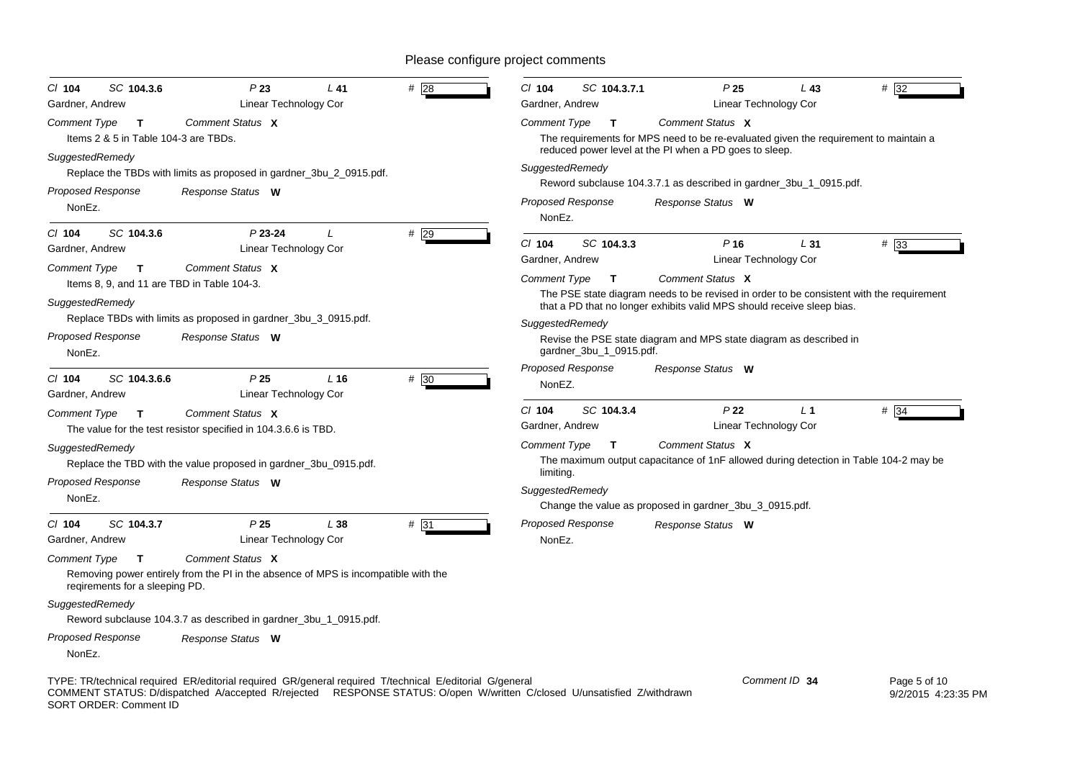| SC 104.3.6<br>$CI$ 104<br>Gardner, Andrew                                                               | P23<br>Linear Technology Cor                                                                           | $L$ 41 | # 28   | $Cl$ 104<br>Gardner, Andrew                 | SC 104.3.7.1            | P <sub>25</sub>                                                                                                                                                    | L43<br>Linear Technology Cor | #32               |
|---------------------------------------------------------------------------------------------------------|--------------------------------------------------------------------------------------------------------|--------|--------|---------------------------------------------|-------------------------|--------------------------------------------------------------------------------------------------------------------------------------------------------------------|------------------------------|-------------------|
| Comment Type<br>$\mathbf{T}$                                                                            | Comment Status X                                                                                       |        |        | Comment Type                                | T.                      | Comment Status X                                                                                                                                                   |                              |                   |
| Items 2 & 5 in Table 104-3 are TBDs.                                                                    |                                                                                                        |        |        |                                             |                         | The requirements for MPS need to be re-evaluated given the requirement to maintain a<br>reduced power level at the PI when a PD goes to sleep.                     |                              |                   |
| SuggestedRemedy<br><b>Proposed Response</b><br>NonEz.                                                   | Replace the TBDs with limits as proposed in gardner_3bu_2_0915.pdf.<br>Response Status W               |        |        | SuggestedRemedy<br><b>Proposed Response</b> |                         | Reword subclause 104.3.7.1 as described in gardner_3bu_1_0915.pdf.<br>Response Status W                                                                            |                              |                   |
|                                                                                                         |                                                                                                        |        |        | NonEz.                                      |                         |                                                                                                                                                                    |                              |                   |
| SC 104.3.6<br>$Cl$ 104<br>Gardner, Andrew                                                               | $P$ 23-24<br>Linear Technology Cor                                                                     |        | #29    | CI 104<br>Gardner, Andrew                   | SC 104.3.3              | P <sub>16</sub>                                                                                                                                                    | L31<br>Linear Technology Cor | #33               |
| <b>Comment Type</b><br>$\mathbf{T}$<br>Items 8, 9, and 11 are TBD in Table 104-3.                       | Comment Status X                                                                                       |        |        | Comment Type                                | $\mathbf{T}$            | Comment Status X                                                                                                                                                   |                              |                   |
| SuggestedRemedy                                                                                         |                                                                                                        |        |        |                                             |                         | The PSE state diagram needs to be revised in order to be consistent with the requirement<br>that a PD that no longer exhibits valid MPS should receive sleep bias. |                              |                   |
|                                                                                                         | Replace TBDs with limits as proposed in gardner_3bu_3_0915.pdf.                                        |        |        | SuggestedRemedy                             |                         |                                                                                                                                                                    |                              |                   |
| <b>Proposed Response</b><br>NonEz.                                                                      | Response Status W                                                                                      |        |        |                                             | gardner_3bu_1_0915.pdf. | Revise the PSE state diagram and MPS state diagram as described in                                                                                                 |                              |                   |
| SC 104.3.6.6<br>CI 104<br>Gardner, Andrew                                                               | P25<br>Linear Technology Cor                                                                           | L16    | $#$ 30 | Proposed Response<br>NonEZ.                 |                         | Response Status W                                                                                                                                                  |                              |                   |
| <b>Comment Type</b><br>$\mathbf{T}$                                                                     | Comment Status X                                                                                       |        |        | $Cl$ 104                                    | SC 104.3.4              | P <sub>22</sub>                                                                                                                                                    | L <sub>1</sub>               | $# \overline{34}$ |
|                                                                                                         | The value for the test resistor specified in 104.3.6.6 is TBD.                                         |        |        | Gardner, Andrew                             |                         |                                                                                                                                                                    | Linear Technology Cor        |                   |
| SuggestedRemedy                                                                                         |                                                                                                        |        |        | <b>Comment Type</b>                         | $\mathbf{T}$            | Comment Status X                                                                                                                                                   |                              |                   |
|                                                                                                         | Replace the TBD with the value proposed in gardner_3bu_0915.pdf.                                       |        |        |                                             |                         | The maximum output capacitance of 1nF allowed during detection in Table 104-2 may be                                                                               |                              |                   |
| <b>Proposed Response</b>                                                                                | Response Status W                                                                                      |        |        | limiting.                                   |                         |                                                                                                                                                                    |                              |                   |
| NonEz.                                                                                                  |                                                                                                        |        |        | SuggestedRemedy                             |                         | Change the value as proposed in gardner_3bu_3_0915.pdf.                                                                                                            |                              |                   |
| SC 104.3.7<br>$CI$ 104                                                                                  | P <sub>25</sub>                                                                                        | L38    | #31    | <b>Proposed Response</b>                    |                         | Response Status W                                                                                                                                                  |                              |                   |
| Gardner, Andrew                                                                                         | Linear Technology Cor                                                                                  |        |        | NonEz.                                      |                         |                                                                                                                                                                    |                              |                   |
| <b>Comment Type</b><br>$\mathbf{T}$<br>regirements for a sleeping PD.                                   | Comment Status X<br>Removing power entirely from the PI in the absence of MPS is incompatible with the |        |        |                                             |                         |                                                                                                                                                                    |                              |                   |
| SuggestedRemedy                                                                                         |                                                                                                        |        |        |                                             |                         |                                                                                                                                                                    |                              |                   |
|                                                                                                         | Reword subclause 104.3.7 as described in gardner_3bu_1_0915.pdf.                                       |        |        |                                             |                         |                                                                                                                                                                    |                              |                   |
| <b>Proposed Response</b><br>NonEz.                                                                      | Response Status W                                                                                      |        |        |                                             |                         |                                                                                                                                                                    |                              |                   |
| TYPE: TR/technical required ER/editorial required GR/general required T/technical E/editorial G/general |                                                                                                        |        |        |                                             |                         |                                                                                                                                                                    | Comment ID 34                | Page 5 of 10      |

COMMENT STATUS: D/dispatched A/accepted R/rejected RESPONSE STATUS: O/open W/written C/closed U/unsatisfied Z/withdrawn SORT ORDER: Comment ID

9/2/2015 4:23:35 PM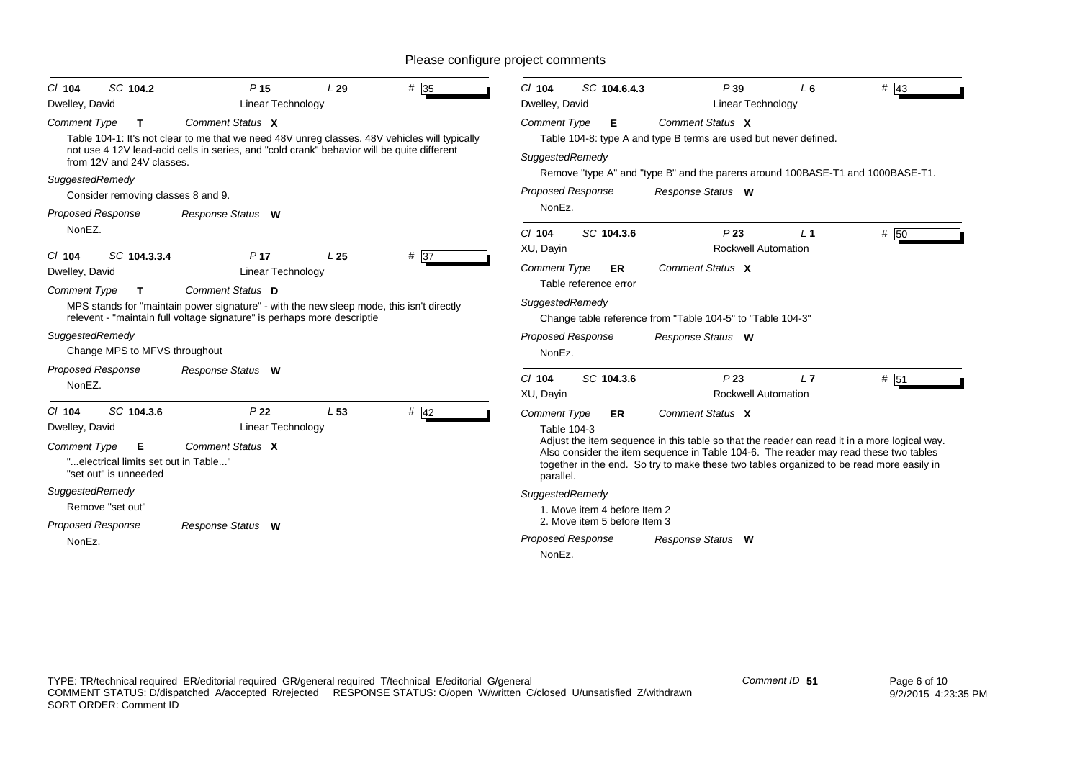| SC 104.2<br>$Cl$ 104                                                                      | P <sub>15</sub>                                                                                                                                                                             | L29             | $# \sqrt{35}$ | $CI$ 104                              | SC 104.6.4.3                 | P39                                                                                                                                                                                                                                                                              | L6        | $\#$ 43 |  |
|-------------------------------------------------------------------------------------------|---------------------------------------------------------------------------------------------------------------------------------------------------------------------------------------------|-----------------|---------------|---------------------------------------|------------------------------|----------------------------------------------------------------------------------------------------------------------------------------------------------------------------------------------------------------------------------------------------------------------------------|-----------|---------|--|
| Dwelley, David<br><b>Comment Type</b><br>T.                                               | Linear Technology<br>Comment Status X                                                                                                                                                       |                 |               | Dwelley, David<br><b>Comment Type</b> | Е                            | Linear Technology<br>Comment Status X                                                                                                                                                                                                                                            |           |         |  |
| from 12V and 24V classes.                                                                 | Table 104-1: It's not clear to me that we need 48V unreg classes. 48V vehicles will typically<br>not use 4 12V lead-acid cells in series, and "cold crank" behavior will be quite different |                 |               | SuggestedRemedy                       |                              | Table 104-8: type A and type B terms are used but never defined.                                                                                                                                                                                                                 |           |         |  |
| SuggestedRemedy                                                                           |                                                                                                                                                                                             |                 |               |                                       |                              | Remove "type A" and "type B" and the parens around 100BASE-T1 and 1000BASE-T1.                                                                                                                                                                                                   |           |         |  |
| Consider removing classes 8 and 9.                                                        |                                                                                                                                                                                             |                 |               | <b>Proposed Response</b>              |                              | Response Status W                                                                                                                                                                                                                                                                |           |         |  |
| <b>Proposed Response</b>                                                                  | Response Status W                                                                                                                                                                           |                 |               | NonEz.                                |                              |                                                                                                                                                                                                                                                                                  |           |         |  |
| NonEZ.                                                                                    |                                                                                                                                                                                             |                 |               | $Cl$ 104<br>XU, Dayin                 | SC 104.3.6                   | P23<br><b>Rockwell Automation</b>                                                                                                                                                                                                                                                | $\perp$ 1 | # 50    |  |
| SC 104.3.3.4<br>$Cl$ 104<br>Dwelley, David                                                | P <sub>17</sub><br>Linear Technology                                                                                                                                                        | L <sub>25</sub> | # 37          | <b>Comment Type</b>                   | ER<br>Table reference error  | Comment Status X                                                                                                                                                                                                                                                                 |           |         |  |
| <b>Comment Type</b><br>T.<br>SuggestedRemedy                                              | Comment Status D<br>MPS stands for "maintain power signature" - with the new sleep mode, this isn't directly<br>relevent - "maintain full voltage signature" is perhaps more descriptie     |                 |               | SuggestedRemedy                       |                              | Change table reference from "Table 104-5" to "Table 104-3"                                                                                                                                                                                                                       |           |         |  |
| Change MPS to MFVS throughout                                                             |                                                                                                                                                                                             |                 |               | <b>Proposed Response</b><br>NonEz.    |                              | Response Status W                                                                                                                                                                                                                                                                |           |         |  |
| <b>Proposed Response</b><br>NonEZ.                                                        | Response Status W                                                                                                                                                                           |                 |               | $Cl$ 104<br>XU, Dayin                 | SC 104.3.6                   | P23<br><b>Rockwell Automation</b>                                                                                                                                                                                                                                                | L7        | # 51    |  |
| SC 104.3.6<br>$Cl$ 104<br>Dwelley, David                                                  | P <sub>22</sub><br><b>Linear Technology</b>                                                                                                                                                 | L <sub>53</sub> | $#$ 42        | <b>Comment Type</b><br>Table 104-3    | ER                           | Comment Status X                                                                                                                                                                                                                                                                 |           |         |  |
| <b>Comment Type</b><br>Е<br>"electrical limits set out in Table"<br>"set out" is unneeded | Comment Status X                                                                                                                                                                            |                 |               | parallel.                             |                              | Adjust the item sequence in this table so that the reader can read it in a more logical way.<br>Also consider the item sequence in Table 104-6. The reader may read these two tables<br>together in the end. So try to make these two tables organized to be read more easily in |           |         |  |
| SuggestedRemedy                                                                           |                                                                                                                                                                                             |                 |               | SuggestedRemedy                       |                              |                                                                                                                                                                                                                                                                                  |           |         |  |
| Remove "set out"                                                                          |                                                                                                                                                                                             |                 |               |                                       | 1. Move item 4 before Item 2 |                                                                                                                                                                                                                                                                                  |           |         |  |
| <b>Proposed Response</b>                                                                  | Response Status W                                                                                                                                                                           |                 |               |                                       | 2. Move item 5 before Item 3 |                                                                                                                                                                                                                                                                                  |           |         |  |
| NonEz.                                                                                    |                                                                                                                                                                                             |                 |               | <b>Proposed Response</b><br>NonEz.    |                              | Response Status W                                                                                                                                                                                                                                                                |           |         |  |
|                                                                                           |                                                                                                                                                                                             |                 |               |                                       |                              |                                                                                                                                                                                                                                                                                  |           |         |  |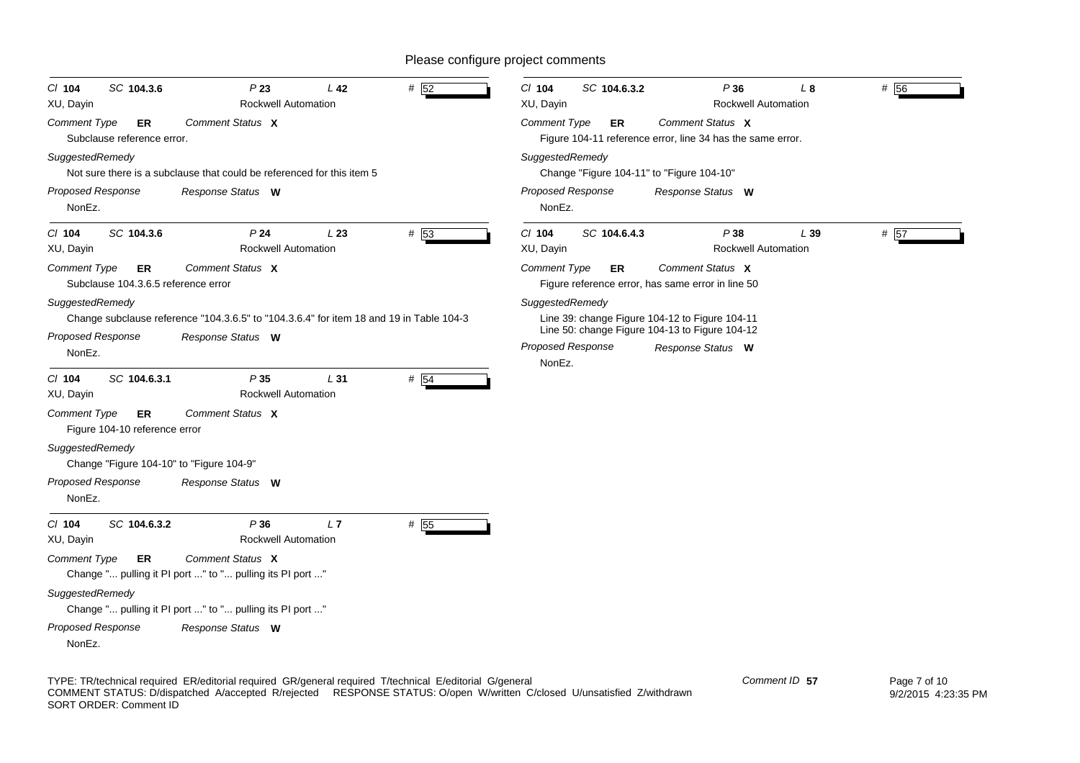| SC 104.3.6<br>P23<br>$CI$ 104<br><b>Rockwell Automation</b><br>XU, Dayin                                                                                              | L <sub>42</sub><br>$#$ 52 | $Cl$ 104<br>SC 104.6.3.2<br>P36<br># 56<br>L <sub>8</sub><br>XU, Dayin<br><b>Rockwell Automation</b>                                                                           |
|-----------------------------------------------------------------------------------------------------------------------------------------------------------------------|---------------------------|--------------------------------------------------------------------------------------------------------------------------------------------------------------------------------|
| Comment Status X<br><b>Comment Type</b><br>ER<br>Subclause reference error.                                                                                           |                           | Comment Type<br>Comment Status X<br>ER<br>Figure 104-11 reference error, line 34 has the same error.                                                                           |
| SuggestedRemedy<br>Not sure there is a subclause that could be referenced for this item 5                                                                             |                           | SuggestedRemedy<br>Change "Figure 104-11" to "Figure 104-10"                                                                                                                   |
| <b>Proposed Response</b><br>Response Status W<br>NonEz.                                                                                                               |                           | <b>Proposed Response</b><br>Response Status W<br>NonEz.                                                                                                                        |
| C/ 104<br>SC 104.3.6<br>P <sub>24</sub><br><b>Rockwell Automation</b><br>XU, Dayin                                                                                    | # 53<br>L23               | C/ 104<br>SC 104.6.4.3<br>P38<br># 57<br>L39<br>XU, Dayin<br><b>Rockwell Automation</b>                                                                                        |
| Comment Status X<br><b>Comment Type</b><br>ER<br>Subclause 104.3.6.5 reference error                                                                                  |                           | Comment Status X<br><b>Comment Type</b><br><b>ER</b><br>Figure reference error, has same error in line 50                                                                      |
| SuggestedRemedy<br>Change subclause reference "104.3.6.5" to "104.3.6.4" for item 18 and 19 in Table 104-3<br><b>Proposed Response</b><br>Response Status W<br>NonEz. |                           | SuggestedRemedy<br>Line 39: change Figure 104-12 to Figure 104-11<br>Line 50: change Figure 104-13 to Figure 104-12<br><b>Proposed Response</b><br>Response Status W<br>NonEz. |
| SC 104.6.3.1<br>P35<br>C/ 104<br><b>Rockwell Automation</b><br>XU, Dayin                                                                                              | L31<br># 54               |                                                                                                                                                                                |
| Comment Status X<br><b>Comment Type</b><br>ER<br>Figure 104-10 reference error                                                                                        |                           |                                                                                                                                                                                |
| SuggestedRemedy<br>Change "Figure 104-10" to "Figure 104-9"                                                                                                           |                           |                                                                                                                                                                                |
| <b>Proposed Response</b><br>Response Status W<br>NonEz.                                                                                                               |                           |                                                                                                                                                                                |
| C/ 104<br>SC 104.6.3.2<br>P36<br>XU, Dayin<br><b>Rockwell Automation</b>                                                                                              | # 55<br>L7                |                                                                                                                                                                                |
| Comment Status X<br><b>Comment Type</b><br><b>ER</b><br>Change " pulling it PI port " to " pulling its PI port "                                                      |                           |                                                                                                                                                                                |
| SuggestedRemedy<br>Change " pulling it PI port " to " pulling its PI port "                                                                                           |                           |                                                                                                                                                                                |
| Proposed Response<br>Response Status W<br>NonEz.                                                                                                                      |                           |                                                                                                                                                                                |

TYPE: TR/technical required ER/editorial required GR/general required T/technical E/editorial G/general COMMENT STATUS: D/dispatched A/accepted R/rejected RESPONSE STATUS: O/open W/written C/closed U/unsatisfied Z/withdrawn SORT ORDER: Comment ID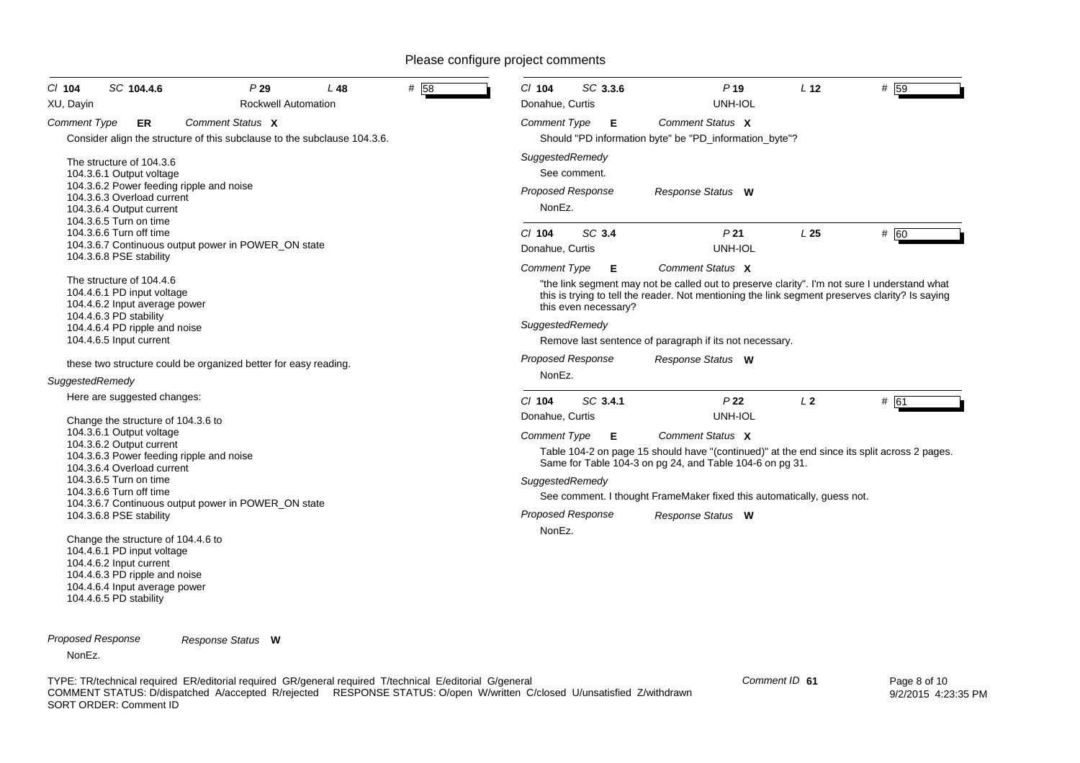| $Cl$ 104<br>XU, Dayin | SC 104.4.6                                                                                                                                                                                                                                                                                                                                                                                                                                                       | P29<br><b>Rockwell Automation</b> | L 48 | #<br>58 | $Cl$ 104<br>Donahue, Curtis                                                  | SC 3.3.6                  | P <sub>19</sub><br>UNH-IOL                                                                                                                                                                                                                                                     | L <sub>12</sub> | #159 |
|-----------------------|------------------------------------------------------------------------------------------------------------------------------------------------------------------------------------------------------------------------------------------------------------------------------------------------------------------------------------------------------------------------------------------------------------------------------------------------------------------|-----------------------------------|------|---------|------------------------------------------------------------------------------|---------------------------|--------------------------------------------------------------------------------------------------------------------------------------------------------------------------------------------------------------------------------------------------------------------------------|-----------------|------|
| <b>Comment Type</b>   | ER<br>Consider align the structure of this subclause to the subclause 104.3.6.                                                                                                                                                                                                                                                                                                                                                                                   | Comment Status X                  |      |         | <b>Comment Type</b>                                                          | Е                         | Comment Status X<br>Should "PD information byte" be "PD_information_byte"?                                                                                                                                                                                                     |                 |      |
|                       | The structure of 104.3.6<br>104.3.6.1 Output voltage<br>104.3.6.2 Power feeding ripple and noise<br>104.3.6.3 Overload current<br>104.3.6.4 Output current<br>104.3.6.5 Turn on time                                                                                                                                                                                                                                                                             |                                   |      |         | SuggestedRemedy<br><b>Proposed Response</b><br>NonEz.                        | See comment.              | Response Status W                                                                                                                                                                                                                                                              |                 |      |
|                       | 104.3.6.6 Turn off time<br>104.3.6.7 Continuous output power in POWER ON state                                                                                                                                                                                                                                                                                                                                                                                   |                                   |      |         | C/ 104<br>Donahue, Curtis                                                    | SC 3.4                    | P <sub>21</sub><br>UNH-IOL                                                                                                                                                                                                                                                     | L <sub>25</sub> | # 60 |
|                       | 104.3.6.8 PSE stability<br>The structure of 104.4.6<br>104.4.6.1 PD input voltage<br>104.4.6.2 Input average power<br>104.4.6.3 PD stability<br>104.4.6.4 PD ripple and noise<br>104.4.6.5 Input current                                                                                                                                                                                                                                                         |                                   |      |         | <b>Comment Type</b><br>SuggestedRemedy                                       | Е<br>this even necessary? | Comment Status X<br>"the link segment may not be called out to preserve clarity". I'm not sure I understand what<br>this is trying to tell the reader. Not mentioning the link segment preserves clarity? Is saying<br>Remove last sentence of paragraph if its not necessary. |                 |      |
| SuggestedRemedy       | these two structure could be organized better for easy reading.                                                                                                                                                                                                                                                                                                                                                                                                  |                                   |      |         | <b>Proposed Response</b><br>NonEz.                                           |                           | Response Status W                                                                                                                                                                                                                                                              |                 |      |
|                       | Here are suggested changes:<br>Change the structure of 104.3.6 to                                                                                                                                                                                                                                                                                                                                                                                                |                                   |      |         | $Cl$ 104<br>Donahue, Curtis                                                  | SC 3.4.1                  | P <sub>22</sub><br>UNH-IOL                                                                                                                                                                                                                                                     | L <sub>2</sub>  | # 61 |
|                       | 104.3.6.1 Output voltage<br>104.3.6.2 Output current<br>104.3.6.3 Power feeding ripple and noise<br>104.3.6.4 Overload current<br>104.3.6.5 Turn on time<br>104.3.6.6 Turn off time<br>104.3.6.7 Continuous output power in POWER ON state<br>104.3.6.8 PSE stability<br>Change the structure of 104.4.6 to<br>104.4.6.1 PD input voltage<br>104.4.6.2 Input current<br>104.4.6.3 PD ripple and noise<br>104.4.6.4 Input average power<br>104.4.6.5 PD stability |                                   |      |         | <b>Comment Type</b><br>SuggestedRemedy<br><b>Proposed Response</b><br>NonEz. | E                         | Comment Status X<br>Table 104-2 on page 15 should have "(continued)" at the end since its split across 2 pages.<br>Same for Table 104-3 on pg 24, and Table 104-6 on pg 31.<br>See comment. I thought FrameMaker fixed this automatically, quess not.<br>Response Status W     |                 |      |

*Proposed Response Response Status* **W**

NonEz.

TYPE: TR/technical required ER/editorial required GR/general required T/technical E/editorial G/general COMMENT STATUS: D/dispatched A/accepted R/rejected RESPONSE STATUS: O/open W/written C/closed U/unsatisfied Z/withdrawn SORT ORDER: Comment ID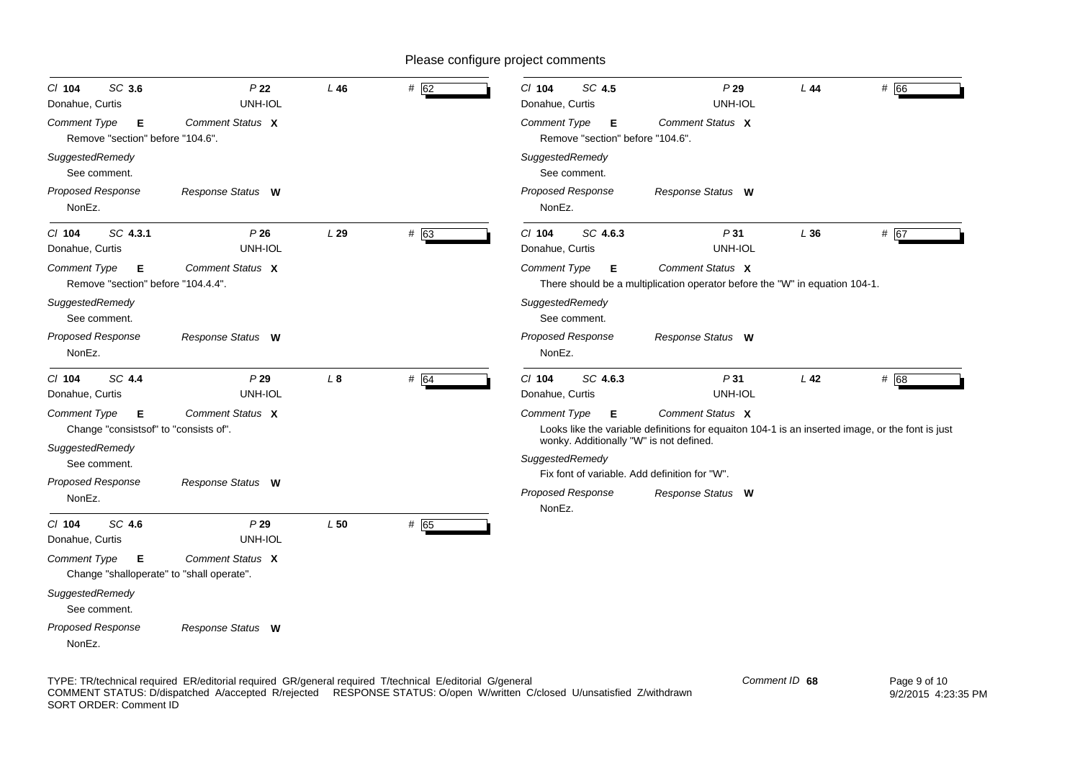| SC 3.6<br>$CI$ 104<br>Donahue, Curtis                                 | P <sub>22</sub><br>UNH-IOL | L46       | # 62 | $Cl$ 104<br>SC 4.5<br>Donahue, Curtis                      | P29<br>UNH-IOL                                                                                                       | L44    | # 66 |
|-----------------------------------------------------------------------|----------------------------|-----------|------|------------------------------------------------------------|----------------------------------------------------------------------------------------------------------------------|--------|------|
| <b>Comment Type</b><br>Е<br>Remove "section" before "104.6".          | Comment Status X           |           |      | Comment Type<br>Е<br>Remove "section" before "104.6".      | Comment Status X                                                                                                     |        |      |
| SuggestedRemedy<br>See comment.                                       |                            |           |      | SuggestedRemedy<br>See comment.                            |                                                                                                                      |        |      |
| <b>Proposed Response</b><br>NonEz.                                    | Response Status W          |           |      | <b>Proposed Response</b><br>NonEz.                         | Response Status W                                                                                                    |        |      |
| SC 4.3.1<br>$CI$ 104<br>Donahue, Curtis                               | P26<br>UNH-IOL             | L29       | # 63 | SC 4.6.3<br>$CI$ 104<br>Donahue, Curtis                    | P31<br>UNH-IOL                                                                                                       | L36    | # 67 |
| <b>Comment Type</b><br>Е<br>Remove "section" before "104.4.4".        | Comment Status X           |           |      | <b>Comment Type</b><br>Е                                   | Comment Status X<br>There should be a multiplication operator before the "W" in equation 104-1.                      |        |      |
| SuggestedRemedy<br>See comment.                                       |                            |           |      | SuggestedRemedy<br>See comment.                            |                                                                                                                      |        |      |
| <b>Proposed Response</b><br>NonEz.                                    | Response Status W          |           |      | <b>Proposed Response</b><br>NonEz.                         | Response Status W                                                                                                    |        |      |
| SC 4.4<br>C/ 104<br>Donahue, Curtis                                   | P29<br>UNH-IOL             | $\perp$ 8 | # 64 | C/ 104<br>SC 4.6.3<br>Donahue, Curtis                      | P31<br>UNH-IOL                                                                                                       | $L$ 42 | # 68 |
| <b>Comment Type</b><br>Е<br>Change "consistsof" to "consists of".     | Comment Status X           |           |      | <b>Comment Type</b><br>Е                                   | Comment Status X<br>Looks like the variable definitions for equaiton 104-1 is an inserted image, or the font is just |        |      |
| SuggestedRemedy<br>See comment.                                       |                            |           |      | wonky. Additionally "W" is not defined.<br>SuggestedRemedy |                                                                                                                      |        |      |
| Proposed Response                                                     | Response Status W          |           |      |                                                            | Fix font of variable. Add definition for "W".                                                                        |        |      |
| NonEz.                                                                |                            |           |      | <b>Proposed Response</b><br>NonEz.                         | Response Status W                                                                                                    |        |      |
| SC 4.6<br>C/ 104<br>Donahue, Curtis                                   | P29<br>UNH-IOL             | L50       | # 65 |                                                            |                                                                                                                      |        |      |
| <b>Comment Type</b><br>Е<br>Change "shalloperate" to "shall operate". | Comment Status X           |           |      |                                                            |                                                                                                                      |        |      |
| SuggestedRemedy<br>See comment.                                       |                            |           |      |                                                            |                                                                                                                      |        |      |
| Proposed Response<br>NonEz.                                           | Response Status W          |           |      |                                                            |                                                                                                                      |        |      |

TYPE: TR/technical required ER/editorial required GR/general required T/technical E/editorial G/general COMMENT STATUS: D/dispatched A/accepted R/rejected RESPONSE STATUS: O/open W/written C/closed U/unsatisfied Z/withdrawn SORT ORDER: Comment ID